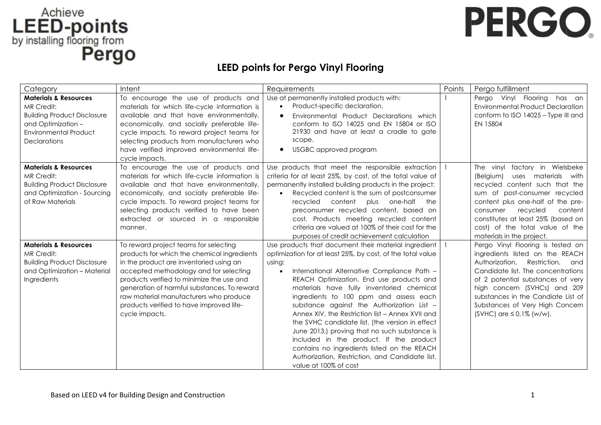## LEED-points<br>by installing flooring from<br>**Pergo**

## PERGO.

## **LEED points for Pergo Vinyl Flooring**

| Category                                                                                                                                                          | Intent                                                                                                                                                                                                                                                                                                                                                                        | Requirements                                                                                                                                                                                                                                                                                                                                                                                                                                                                                                                                                                                                                                                                                            | Points | Pergo fulfillment                                                                                                                                                                                                                                                                                                                  |
|-------------------------------------------------------------------------------------------------------------------------------------------------------------------|-------------------------------------------------------------------------------------------------------------------------------------------------------------------------------------------------------------------------------------------------------------------------------------------------------------------------------------------------------------------------------|---------------------------------------------------------------------------------------------------------------------------------------------------------------------------------------------------------------------------------------------------------------------------------------------------------------------------------------------------------------------------------------------------------------------------------------------------------------------------------------------------------------------------------------------------------------------------------------------------------------------------------------------------------------------------------------------------------|--------|------------------------------------------------------------------------------------------------------------------------------------------------------------------------------------------------------------------------------------------------------------------------------------------------------------------------------------|
| <b>Materials &amp; Resources</b><br>MR Credit:<br><b>Building Product Disclosure</b><br>and Optimization -<br><b>Environmental Product</b><br><b>Declarations</b> | To encourage the use of products and<br>materials for which life-cycle information is<br>available and that have environmentally,<br>economically, and socially preferable life-<br>cycle impacts. To reward project teams for<br>selecting products from manufacturers who<br>have verified improved environmental life-<br>cycle impacts.                                   | Use at permanently installed products with:<br>Product-specific declaration.<br>$\bullet$<br>Environmental Product Declarations which<br>$\bullet$<br>conform to ISO 14025 and EN 15804 or ISO<br>21930 and have at least a cradle to gate<br>scope.<br>USGBC approved program<br>$\bullet$                                                                                                                                                                                                                                                                                                                                                                                                             |        | Pergo Vinyl Flooring<br>has an<br><b>Environmental Product Declaration</b><br>conform to ISO 14025 - Type III and<br>EN 15804                                                                                                                                                                                                      |
| <b>Materials &amp; Resources</b><br>MR Credit:<br><b>Building Product Disclosure</b><br>and Optimization - Sourcing<br>of Raw Materials                           | To encourage the use of products and<br>materials for which life-cycle information is<br>available and that have environmentally,<br>economically, and socially preferable life-<br>cycle impacts. To reward project teams for<br>selecting products verified to have been<br>extracted or sourced in a responsible<br>manner.                                                | Use products that meet the responsible extraction<br>criteria for at least 25%, by cost, of the total value of<br>permanently installed building products in the project:<br>Recycled content is the sum of postconsumer<br>$\bullet$<br>recycled content plus one-half the<br>preconsumer recycled content, based on<br>cost. Products meeting recycled content<br>criteria are valued at 100% of their cost for the<br>purposes of credit achievement calculation                                                                                                                                                                                                                                     |        | The vinyl<br>factory in Wielsbeke<br>uses materials with<br>(Belgium)<br>recycled content such that the<br>sum of post-consumer recycled<br>content plus one-half of the pre-<br>recycled<br>content<br>consumer<br>constitutes at least 25% (based on<br>cost) of the total value of the<br>materials in the project.             |
| <b>Materials &amp; Resources</b><br>MR Credit:<br><b>Building Product Disclosure</b><br>and Optimization - Material<br>Ingredients                                | To reward project teams for selecting<br>products for which the chemical ingredients<br>in the product are inventoried using an<br>accepted methodology and for selecting<br>products verified to minimize the use and<br>generation of harmful substances. To reward<br>raw material manufacturers who produce<br>products verified to have improved life-<br>cycle impacts. | Use products that document their material ingredient<br>optimization for at least 25%, by cost, of the total value<br>using:<br>International Alternative Compliance Path -<br>$\bullet$<br>REACH Optimization. End use products and<br>materials have fully inventoried chemical<br>ingredients to 100 ppm and assess each<br>substance against the Authorization List -<br>Annex XIV, the Restriction list - Annex XVII and<br>the SVHC candidate list, (the version in effect<br>June 2013,) proving that no such substance is<br>included in the product. If the product<br>contains no ingredients listed on the REACH<br>Authorization, Restriction, and Candidate list,<br>value at 100% of cost |        | Pergo Vinyl Flooring is tested on<br>ingredients listed on the REACH<br>Authorization, Restriction,<br>and<br>Candidate list. The concentrations<br>of 2 potential substances of very<br>high concern (SVHCs) and 209<br>substances in the Candiate List of<br>Substances of Very High Concern<br>$(SVHC)$ are $\leq 0.1\%$ (w/w). |